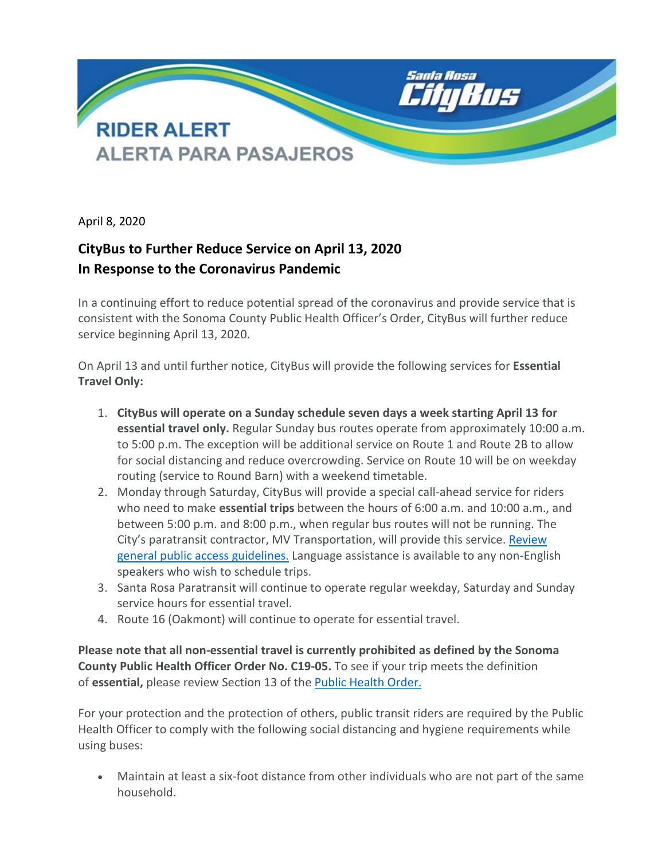

April 8, 2020

## **CityBus to Further Reduce Service on April 13, 2020 In Response to the Coronavirus Pandemic**

In a continuing effort to reduce potential spread of the coronavirus and provide service that is consistent with the Sonoma County Public Health Officer's Order, CityBus will further reduce service beginning April 13, 2020.

On April 13 and until further notice, CityBus will provide the following services for **Essential Travel Only:**

- 1. **CityBus will operate on a Sunday schedule seven days a week starting April 13 for essential travel only.** Regular Sunday bus routes operate from approximately 10:00 a.m. to 5:00 p.m. The exception will be additional service on Route 1 and Route 2B to allow for social distancing and reduce overcrowding. Service on Route 10 will be on weekday routing (service to Round Barn) with a weekend timetable.
- 2. Monday through Saturday, CityBus will provide a special call-ahead service for riders who need to make **essential trips** between the hours of 6:00 a.m. and 10:00 a.m., and between 5:00 p.m. and 8:00 p.m., when regular bus routes will not be running. The City's paratransit contractor, MV Transportation, will provide this service. [Review](https://srcity.org/2564/Detours-and-Rider-Alerts)  [general public access guidelines.](https://srcity.org/2564/Detours-and-Rider-Alerts) Language assistance is available to any non-English speakers who wish to schedule trips.
- 3. Santa Rosa Paratransit will continue to operate regular weekday, Saturday and Sunday service hours for essential travel.
- 4. Route 16 (Oakmont) will continue to operate for essential travel.

**Please note that all non-essential travel is currently prohibited as defined by the Sonoma County Public Health Officer Order No. C19-05.** To see if your trip meets the definition of **essential,** please review Section 13 of the [Public Health Order.](https://socoemergency.org/order-of-the-health-officer-shelter-in-place-extended/)

For your protection and the protection of others, public transit riders are required by the Public Health Officer to comply with the following social distancing and hygiene requirements while using buses:

• Maintain at least a six-foot distance from other individuals who are not part of the same household.